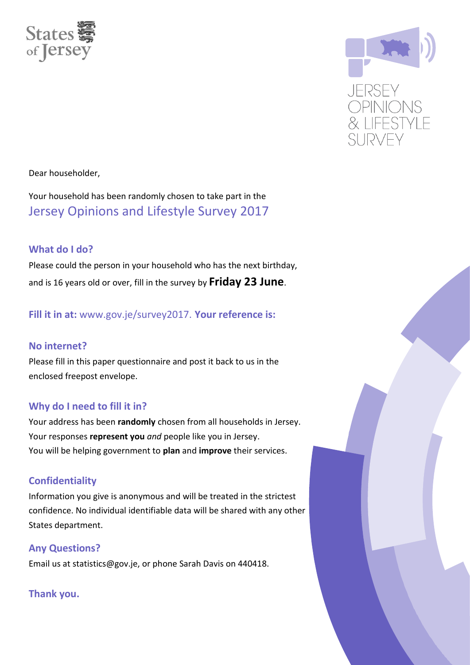



Dear householder,

Your household has been randomly chosen to take part in the Jersey Opinions and Lifestyle Survey 2017

### **What do I do?**

Please could the person in your household who has the next birthday, and is 16 years old or over, fill in the survey by **Friday 23 June**.

**Fill it in at:** www.gov.je/survey2017. **Your reference is:**

### **No internet?**

Please fill in this paper questionnaire and post it back to us in the enclosed freepost envelope.

### **Why do I need to fill it in?**

Your address has been **randomly** chosen from all households in Jersey. Your responses **represent you** *and* people like you in Jersey. You will be helping government to **plan** and **improve** their services.

### **Confidentiality**

Information you give is anonymous and will be treated in the strictest confidence. No individual identifiable data will be shared with any other States department.

### **Any Questions?**

Email us at statistics@gov.je, or phone Sarah Davis on 440418.

### **Thank you.**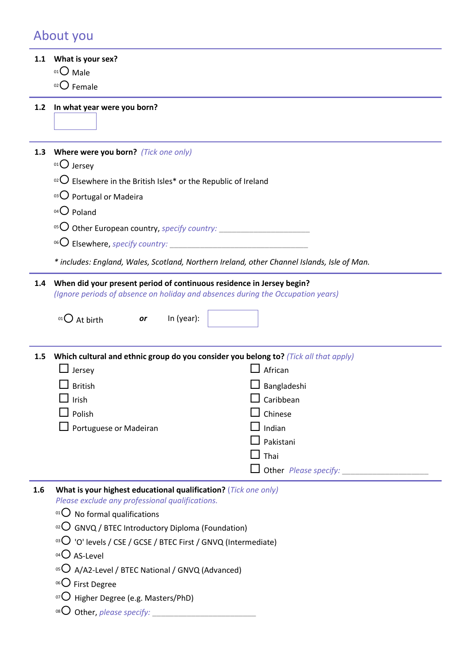### About you

#### **1.1 What is your sex?**

- $01$  Male
- $02$  Female

#### **1.2 In what year were you born?**

- **1.3 Where were you born?** *(Tick one only)*
	- $01$  Jersey
	- $102$  Elsewhere in the British Isles\* or the Republic of Ireland
	- 03 Portugal or Madeira
	- $04$  Poland
	- 05 O Other European country, *specify country:* **\_\_\_\_\_\_\_\_\_\_\_\_\_\_\_**
	- 06 **C** Elsewhere, *specify country:*
	- *\* includes: England, Wales, Scotland, Northern Ireland, other Channel Islands, Isle of Man.*

#### **1.4 When did your present period of continuous residence in Jersey begin?** *(Ignore periods of absence on holiday and absences during the Occupation years)*

- $^{01}$  $\bigcirc$  At birth *or* In (year):
	-

**1.5 Which cultural and ethnic group do you consider you belong to?** *(Tick all that apply)*  $\Box$  lersey  $\Box$  African

| $\Box$ British                | $\Box$ Bangladeshi           |
|-------------------------------|------------------------------|
| $\Box$ Irish                  | $\square$ Caribbean          |
| $\Box$ Polish                 | $\Box$ Chinese               |
| $\Box$ Portuguese or Madeiran | $\perp$ Indian               |
|                               | $\Box$ Pakistani             |
|                               | $\Box$ Thai                  |
|                               | $\Box$ Other Please specify: |
|                               |                              |

- **1.6 What is your highest educational qualification?** (*Tick one only) Please exclude any professional qualifications.*
	- $01$  No formal qualifications
	- $10^{22}$  GNVQ / BTEC Introductory Diploma (Foundation)
	- $03$  'O' levels / CSE / GCSE / BTEC First / GNVQ (Intermediate)
	- $04$  AS-Level
	- $05$  A/A2-Level / BTEC National / GNVQ (Advanced)
	- 06<sup>O</sup> First Degree
	- $\overline{07}$  Higher Degree (e.g. Masters/PhD)
	- <sup>08</sup> Other, *please specify:*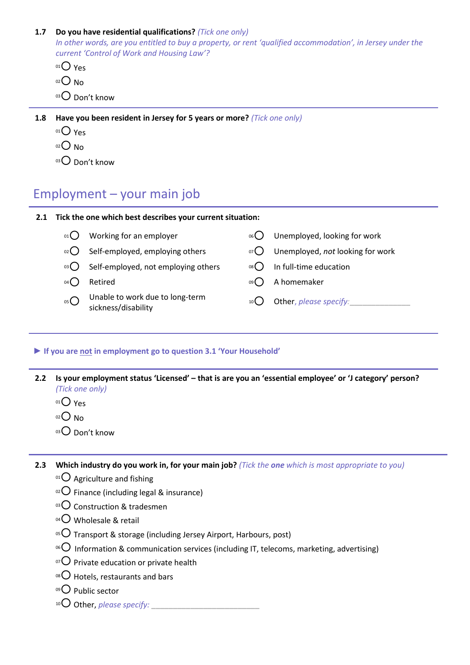#### **1.7 Do you have residential qualifications?** *(Tick one only)*

*In other words, are you entitled to buy a property, or rent 'qualified accommodation', in Jersey under the current 'Control of Work and Housing Law'?*

- $01$  Yes
- $02$  No
- $03$  Don't know

**1.8 Have you been resident in Jersey for 5 years or more?** *(Tick one only)*

- $01<sup>01</sup>$  Yes
- $02$  No
- $03$  Don't know

# Employment – your main job

#### **2.1 Tick the one which best describes your current situation:**

- 
- 
- $03$  Self-employed, not employing others  $08$  In full-time education
- 
- $05()$ Unable to work due to long-term sickness/disability
- $0.00$  Working for an employer  $0.000$  Unemployed, looking for work
- 02 O Self-employed, employing others  $\sigma$  O Unemployed, *not* looking for work
	-
- 04 Retired and December 2016 and December 2016 and December 2016 and December 2016 and December 2016 and December 2016 and December 2016 and December 2016 and December 2016 and December 2016 and December 2016 and December
	- <sup>10</sup> Other, *please specify:***\_\_\_\_\_\_\_\_\_\_\_\_\_\_**

#### **► If you are not in employment go to question 3.1 'Your Household'**

- **2.2 Is your employment status 'Licensed' – that is are you an 'essential employee' or 'J category' person?** *(Tick one only)*
	- $01O$  Yes
	- $O<sub>02</sub>$  No
	- $03$  Don't know

**2.3 Which industry do you work in, for your main job?** *(Tick the one which is most appropriate to you)*

- $01$  Agriculture and fishing
- $10^{2}$  Finance (including legal & insurance)
- $03$  Construction & tradesmen
- $^{04}$ O Wholesale & retail
- $105$  Transport & storage (including Jersey Airport, Harbours, post)
- <sup>06</sup> Information & communication services (including IT, telecoms, marketing, advertising)
- $\sigma$ Private education or private health
- $08$  Hotels, restaurants and bars
- $09$  Public sector
- <sup>10</sup> $\bigcirc$  Other, *please specify:*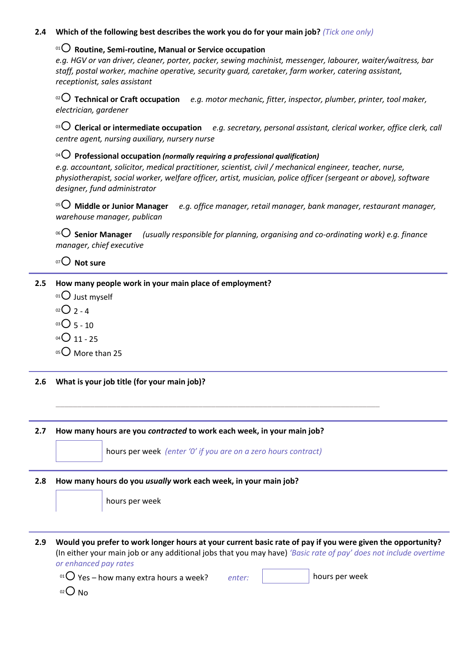#### **2.4 Which of the following best describes the work you do for your main job?** *(Tick one only)*

#### <sup>01</sup> **Routine, Semi-routine, Manual or Service occupation**

*e.g. HGV or van driver, cleaner, porter, packer, sewing machinist, messenger, labourer, waiter/waitress, bar staff, postal worker, machine operative, security guard, caretaker, farm worker, catering assistant, receptionist, sales assistant*

<sup>02</sup> **Technical or Craft occupation** *e.g. motor mechanic, fitter, inspector, plumber, printer, tool maker, electrician, gardener*

<sup>03</sup> **Clerical or intermediate occupation** *e.g. secretary, personal assistant, clerical worker, office clerk, call centre agent, nursing auxiliary, nursery nurse*

#### <sup>04</sup> **Professional occupation** *(normally requiring a professional qualification)*

*e.g. accountant, solicitor, medical practitioner, scientist, civil / mechanical engineer, teacher, nurse, physiotherapist, social worker, welfare officer, artist, musician, police officer (sergeant or above), software designer, fund administrator*

<sup>05</sup> **Middle or Junior Manager** *e.g. office manager, retail manager, bank manager, restaurant manager, warehouse manager, publican*

<sup>06</sup> **Senior Manager** *(usually responsible for planning, organising and co-ordinating work) e.g. finance manager, chief executive* 

### <sup>07</sup> **Not sure**

#### **2.5 How many people work in your main place of employment?**

- $01$  Just myself
- $02O_2 4$
- $03$  5 10
- $04$  04  $\bigcirc$  11 25
- $05$  More than 25
- **2.6 What is your job title (for your main job)?**

#### **2.7 How many hours are you** *contracted* **to work each week, in your main job?**

hours per week *(enter '0' if you are on a zero hours contract)* 

**\_\_\_\_\_\_\_\_\_\_\_\_\_\_\_\_\_\_\_\_\_\_\_\_\_\_\_\_\_\_\_\_\_\_\_\_\_\_\_\_\_\_\_\_\_\_\_\_\_\_\_\_\_\_\_\_\_\_\_\_\_\_\_\_\_\_\_\_\_\_\_\_\_\_\_**

#### **2.8 How many hours do you** *usually* **work each week, in your main job?**

**2.9 Would you prefer to work longer hours at your current basic rate of pay if you were given the opportunity?** (In either your main job or any additional jobs that you may have) *'Basic rate of pay' does not include overtime or enhanced pay rates*

<sup>01</sup> Yes – how many extra hours a week? *enter:* **hours per week hours** per week

 $02$  No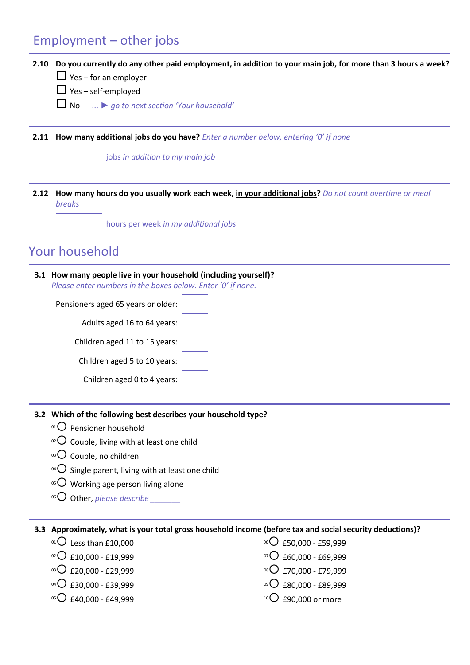# Employment – other jobs

### **2.10 Do you currently do any other paid employment, in addition to your main job, for more than 3 hours a week?**

- $\Box$  Yes for an employer
- $\Box$  Yes self-employed
- No ... *► go to next section 'Your household'*

**2.11 How many additional jobs do you have?** *Enter a number below, entering '0' if none*

jobs *in addition to my main job*

**2.12 How many hours do you usually work each week, in your additional jobs?** *Do not count overtime or meal breaks*

hours per week *in my additional jobs*

# Your household

**3.1 How many people live in your household (including yourself)?** *Please enter numbers in the boxes below. Enter '0' if none.*

Pensioners aged 65 years or older: Adults aged 16 to 64 years: Children aged 11 to 15 years: Children aged 5 to 10 years: Children aged 0 to 4 years:

#### **3.2 Which of the following best describes your household type?**

- $01$  Pensioner household
- $10^{2}$  Couple, living with at least one child
- $03$  Couple, no children
- <sup>04</sup> $\bigcirc$  Single parent, living with at least one child
- $05$  Working age person living alone
- <sup>06</sup>O Other, *please describe*

#### **3.3 Approximately, what is your total gross household income (before tax and social security deductions)?**

- $^{01}$  Less than £10,000
- $^{02}$ C £10,000 £19,999
- $^{03}$  $O$  £20,000 £29,999
- $^{04}$  $O$  £30,000 £39,999
- $05$  £40,000 £49,999
- $06$  £50,000 £59,999
- $07$  £60,000 £69,999
- 08 C £70,000 £79,999
- 09 **C** £80,000 £89,999
- $10$  £90,000 or more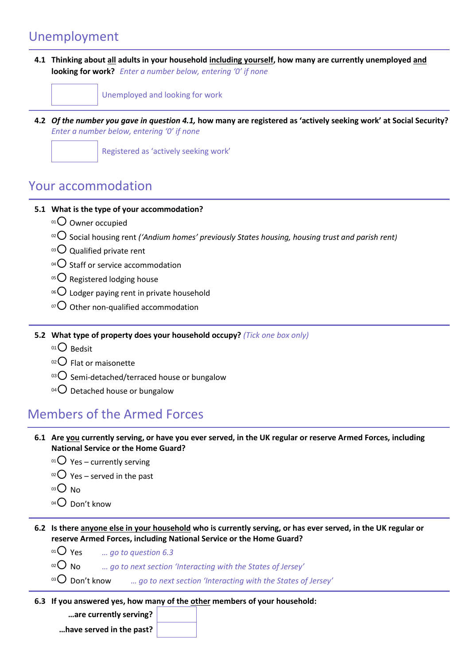# Unemployment

**4.1 Thinking about all adults in your household including yourself, how many are currently unemployed and looking for work?** *Enter a number below, entering '0' if none*



**4.2** *Of the number you gave in question 4.1,* **how many are registered as 'actively seeking work' at Social Security?** *Enter a number below, entering '0' if none*

Registered as 'actively seeking work'

### Your accommodation

### **5.1 What is the type of your accommodation?**

- $01$  Owner occupied
- <sup>02</sup> Social housing rent *('Andium homes' previously States housing, housing trust and parish rent)*
- $03$  Qualified private rent
- $104$  Staff or service accommodation
- $05$  Registered lodging house
- $106$  Lodger paying rent in private household
- $\sigma$ O Other non-qualified accommodation

**5.2 What type of property does your household occupy?** *(Tick one box only)*

- $01$  Bedsit
- $02$  Flat or maisonette
- $\,^{\circ}$ 3 $\,$ O Semi-detached/terraced house or bungalow
- $^{04}$ O Detached house or bungalow

# Members of the Armed Forces

- **6.1 Are you currently serving, or have you ever served, in the UK regular or reserve Armed Forces, including National Service or the Home Guard?** 
	- $01$  Yes currently serving
	- $02$  Yes served in the past
	- $03$  No
	- $04$  Don't know
- **6.2 Is there anyone else in your household who is currently serving, or has ever served, in the UK regular or reserve Armed Forces, including National Service or the Home Guard?** 
	- <sup>01</sup> Yes *… go to question 6.3*
	- <sup>02</sup> No *… go to next section 'Interacting with the States of Jersey'*
	- <sup>03</sup> Don't know *... go to next section 'Interacting with the States of Jersey'*
- **6.3 If you answered yes, how many of the other members of your household:**

**…are currently serving?** 

**…have served in the past?**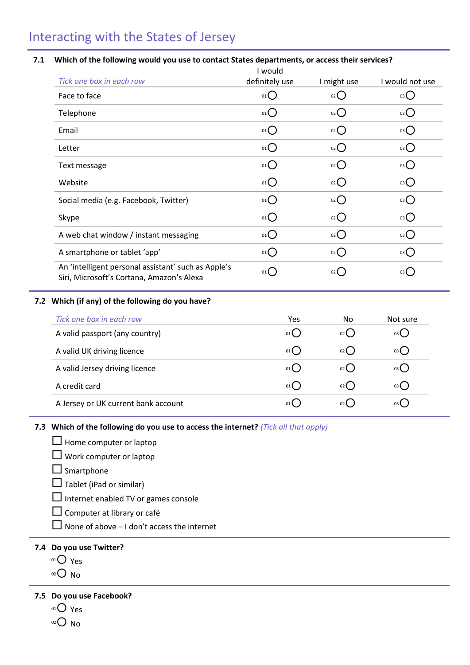# Interacting with the States of Jersey

#### **7.1 Which of the following would you use to contact States departments, or access their services?**

|                                                                                                  | I would                             |                    |                   |
|--------------------------------------------------------------------------------------------------|-------------------------------------|--------------------|-------------------|
| Tick one box in each row                                                                         | definitely use                      | I might use        | I would not use   |
| Face to face                                                                                     | $01$ $\left($                       | $_{02}$ $\bigcirc$ | 03()              |
| Telephone                                                                                        | 01()                                | $_{02}$ $\bigcirc$ | $03$ $\bigcirc$   |
| Email                                                                                            | 01                                  | $_{02}$ $O$        | $03$ $\bigcirc$   |
| Letter                                                                                           | 01()                                | $_{02}$ $O$        | $_0$ 3 $\bigcirc$ |
| Text message                                                                                     | 01()                                | $_{02}$ $\bigcirc$ | 03                |
| Website                                                                                          | 01()                                | $_{02}$ $\bigcirc$ | $_0$ 3 $\bigcirc$ |
| Social media (e.g. Facebook, Twitter)                                                            | 01()                                | $_{02}$ $\bigcap$  | 03                |
| Skype                                                                                            | $_{01}$ $\bigcap$                   | $_{02}$ $O$        | 03                |
| A web chat window / instant messaging                                                            | $_{01}$ $\bigcap$                   | $_{02}$ $\bigcirc$ | 03                |
| A smartphone or tablet 'app'                                                                     | $_{01}$ $\bigcap$                   | $_{02}$ $O$        | $_{03}O$          |
| An 'intelligent personal assistant' such as Apple's<br>Siri, Microsoft's Cortana, Amazon's Alexa | $01$ <sup><math>\left(</math></sup> | 02                 | 03                |

#### **7.2 Which (if any) of the following do you have?**

| Tick one box in each row            | Yes  | No.    | Not sure |
|-------------------------------------|------|--------|----------|
| A valid passport (any country)      | 01() | 02()   | 03()     |
| A valid UK driving licence          | 01() | $02$ ( | 03()     |
| A valid Jersey driving licence      | 01() | 02()   | 03()     |
| A credit card                       | 01() | 02()   | 03()     |
| A Jersey or UK current bank account | 01   | $02$ ( | 03()     |

#### **7.3 Which of the following do you use to access the internet?** *(Tick all that apply)*

- $\Box$  Home computer or laptop
- $\Box$  Work computer or laptop
- $\square$  Smartphone
- $\Box$  Tablet (iPad or similar)
- $\Box$  Internet enabled TV or games console
- Computer at library or café
- $\Box$  None of above I don't access the internet

### **7.4 Do you use Twitter?**

- 01<sup>O</sup> Yes
- $O<sub>02</sub>$  No

### **7.5 Do you use Facebook?**

- $01O$  Yes
- $02$  No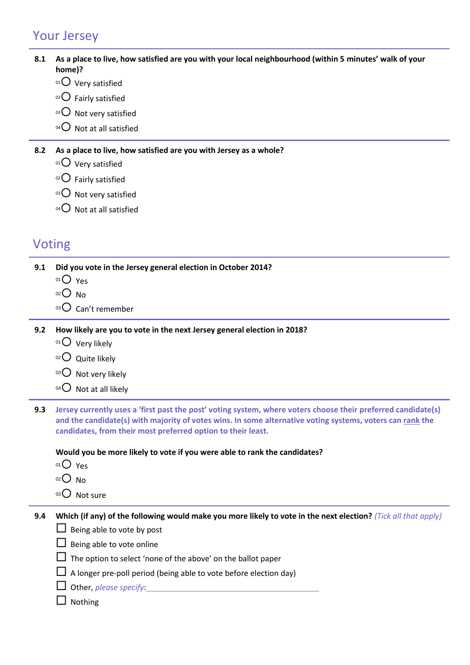# Your Jersey

### **8.1 As a place to live, how satisfied are you with your local neighbourhood (within 5 minutes' walk of your home)?**

- $01$  Very satisfied
- $02$  Fairly satisfied
- $03$  Not very satisfied
- $04$  Not at all satisfied

### **8.2 As a place to live, how satisfied are you with Jersey as a whole?**

- $01$  Very satisfied
- $02$  Fairly satisfied
- $03$  Not very satisfied
- $^{04}$  Not at all satisfied

# Voting

**9.1 Did you vote in the Jersey general election in October 2014?** 

- $01$  Yes
- $02$  No
- $03$  Can't remember
- **9.2 How likely are you to vote in the next Jersey general election in 2018?**
	- $01$  Very likely
	- $02$  Quite likely
	- $03$  Not very likely
	- $^{04}$  Not at all likely
- **9.3 Jersey currently uses a 'first past the post' voting system, where voters choose their preferred candidate(s) and the candidate(s) with majority of votes wins. In some alternative voting systems, voters can rank the candidates, from their most preferred option to their least.**

#### **Would you be more likely to vote if you were able to rank the candidates?**

- $01$  Yes
- $02$  No
- 03<sup>O</sup> Not sure

**9.4 Which (if any) of the following would make you more likely to vote in the next election?** *(Tick all that apply)* 

- $\Box$  Being able to vote by post
- $\Box$  Being able to vote online
- $\Box$  The option to select 'none of the above' on the ballot paper
- $\Box$  A longer pre-poll period (being able to vote before election day)

### $\Box$  Nothing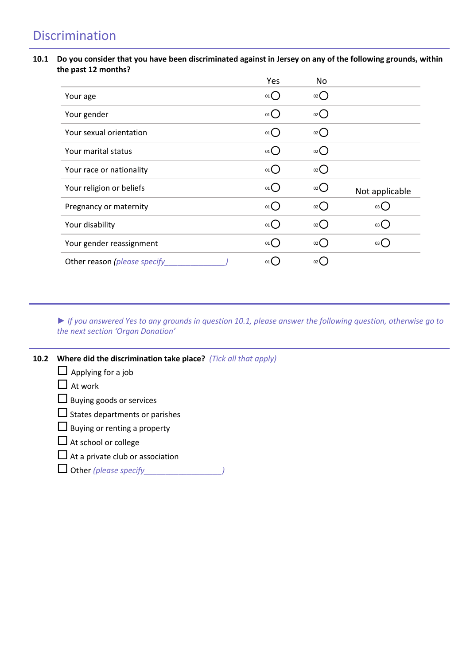# Discrimination

#### **10.1 Do you consider that you have been discriminated against in Jersey on any of the following grounds, within the past 12 months?**

|                              | Yes                | No                 |                     |
|------------------------------|--------------------|--------------------|---------------------|
| Your age                     | 01()               | $_{02}$ $\bigcirc$ |                     |
| Your gender                  | $_{01}$ $\bigcirc$ | $_{02}()$          |                     |
| Your sexual orientation      | 01()               | $_{02}$ ()         |                     |
| Your marital status          | $_{01}$ $\bigcirc$ | 02()               |                     |
| Your race or nationality     | 01()               | 02()               |                     |
| Your religion or beliefs     | 01()               | $_{02}$ $\bigcirc$ | Not applicable      |
| Pregnancy or maternity       | 01()               | $_{02}$ ()         | 03(                 |
| Your disability              | $_{01}$ $\bigcirc$ | $_{02}$ ()         | 03()                |
| Your gender reassignment     | 01()               | $02$ $\left($      | $03$ $\binom{1}{2}$ |
| Other reason (please specify | 01                 |                    |                     |

*► If you answered Yes to any grounds in question 10.1, please answer the following question, otherwise go to the next section 'Organ Donation'*

| <b>10.2</b> Where did the discrimination take place? (Tick all that apply) |  |  |
|----------------------------------------------------------------------------|--|--|
|                                                                            |  |  |

- $\Box$  Applying for a job
- $\Box$  At work
- $\square$  Buying goods or services
- $\square$  States departments or parishes
- $\Box$  Buying or renting a property
- $\square$  At school or college
- $\Box$  At a private club or association
- Other *(please specify\_\_\_\_\_\_\_\_\_\_\_\_\_\_\_\_\_\_)*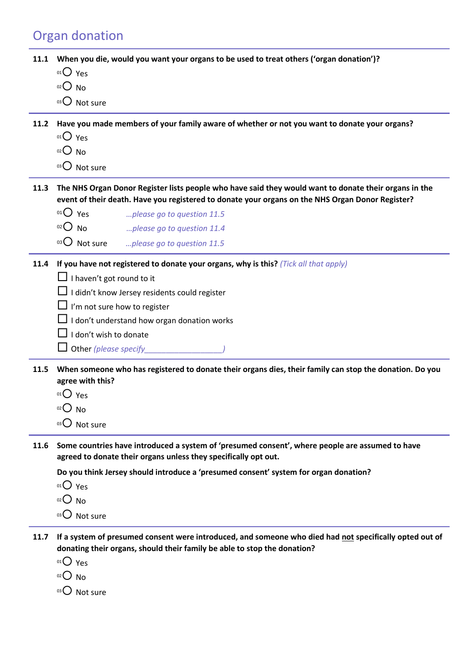# Organ donation

**11.1 When you die, would you want your organs to be used to treat others ('organ donation')?**

- 01<sup>O</sup> Yes
- $02$  No
- 03 Not sure

**11.2 Have you made members of your family aware of whether or not you want to donate your organs?** 

- $01$  Yes
- $02$  No
- 03 Not sure

**11.3 The NHS Organ Donor Register lists people who have said they would want to donate their organs in the event of their death. Have you registered to donate your organs on the NHS Organ Donor Register?**

<sup>01</sup> Yes *…please go to question 11.5* <sup>02</sup> No *…please go to question 11.4*

<sup>03</sup> Not sure *…please go to question 11.5*

- **11.4 If you have not registered to donate your organs, why is this?** *(Tick all that apply)* 
	- $\Box$  I haven't got round to it
	- $\Box$  I didn't know Jersey residents could register
	- $\Box$  I'm not sure how to register
	- $\Box$  I don't understand how organ donation works
	- $\Box$  I don't wish to donate
	- Other *(please specify\_\_\_\_\_\_\_\_\_\_\_\_\_\_\_\_\_\_)*
- **11.5 When someone who has registered to donate their organs dies, their family can stop the donation. Do you agree with this?** 
	- <sup>01</sup> Yes
	- $02$  No
	- 03 Not sure
- **11.6 Some countries have introduced a system of 'presumed consent', where people are assumed to have agreed to donate their organs unless they specifically opt out.**

**Do you think Jersey should introduce a 'presumed consent' system for organ donation?**

 $01$  Yes

- $02$  No
- 03 Not sure
- **11.7 If a system of presumed consent were introduced, and someone who died had not specifically opted out of donating their organs, should their family be able to stop the donation?** 
	- 01 Yes
	- $02$  No
	- $03$  Not sure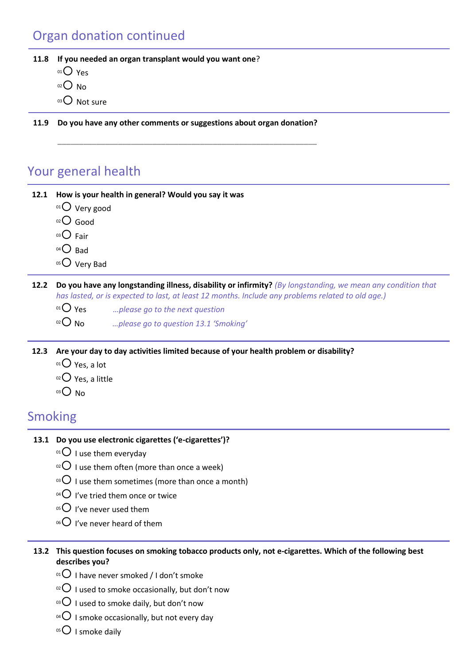# Organ donation continued

**11.8 If you needed an organ transplant would you want one**?

 $01$  Yes

- $O<sub>02</sub>$  No
- 03 Not sure
- **11.9 Do you have any other comments or suggestions about organ donation?**

**\_\_\_\_\_\_\_\_\_\_\_\_\_\_\_\_\_\_\_\_\_\_\_\_\_\_\_\_\_\_\_\_\_\_\_\_\_\_\_\_\_\_\_\_\_\_\_\_\_\_\_\_\_\_\_\_\_\_\_\_**

### Your general health

**12.1 How is your health in general? Would you say it was**

- $01$  Very good
- $O$  Good
- $03$  Fair
- $04\bigcirc$  Bad
- 05 Very Bad

**12.2 Do you have any longstanding illness, disability or infirmity?** *(By longstanding, we mean any condition that has lasted, or is expected to last, at least 12 months. Include any problems related to old age.)*

- <sup>01</sup> Yes *…please go to the next question*
- <sup>02</sup> No *…please go to question 13.1 'Smoking'*

**12.3 Are your day to day activities limited because of your health problem or disability?**

- $01$  Yes, a lot
- $02$  Yes, a little
- $03$  No

# Smoking

### **13.1 Do you use electronic cigarettes ('e-cigarettes')?**

- $01$  I use them everyday
- $10^{12}$  I use them often (more than once a week)
- $10^{3}$  I use them sometimes (more than once a month)
- $^{04}$  I've tried them once or twice
- $05$  I've never used them
- $06$  I've never heard of them
- **13.2 This question focuses on smoking tobacco products only, not e-cigarettes. Which of the following best describes you?** 
	- $01$  I have never smoked / I don't smoke
	- $10^{12}$  I used to smoke occasionally, but don't now
	- $\overline{0}$  I used to smoke daily, but don't now
	- <sup>04</sup> $\bigcirc$  I smoke occasionally, but not every day
	- $05$  I smoke daily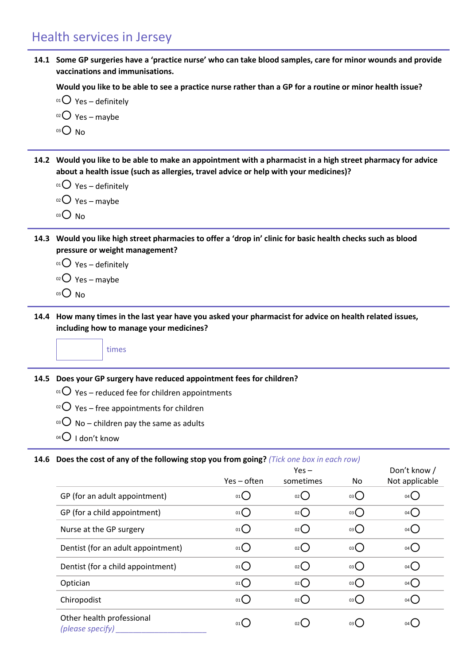### Health services in Jersey

**14.1 Some GP surgeries have a 'practice nurse' who can take blood samples, care for minor wounds and provide vaccinations and immunisations.**

**Would you like to be able to see a practice nurse rather than a GP for a routine or minor health issue?**

- $^{01}$  Yes definitely
- $02$  Yes maybe
- $03$  No
- **14.2 Would you like to be able to make an appointment with a pharmacist in a high street pharmacy for advice about a health issue (such as allergies, travel advice or help with your medicines)?**

 $01$  Yes – definitely

 $02$  Yes – maybe

- $03$  No
- **14.3 Would you like high street pharmacies to offer a 'drop in' clinic for basic health checks such as blood pressure or weight management?**

 $01$  Yes – definitely

- $02$  Yes maybe
- <sup>03</sup> No
- **14.4 How many times in the last year have you asked your pharmacist for advice on health related issues, including how to manage your medicines?**

times

**14.5 Does your GP surgery have reduced appointment fees for children?**

- $^{01}$  Yes reduced fee for children appointments
- $102$  Yes free appointments for children
- $03$  No children pay the same as adults
- $04$  I don't know

#### **14.6 Does the cost of any of the following stop you from going?** *(Tick one box in each row)*

|                                               | Yes – often | $Yes -$<br>sometimes | No | Don't know /<br>Not applicable |
|-----------------------------------------------|-------------|----------------------|----|--------------------------------|
| GP (for an adult appointment)                 | 01()        | 02()                 | 03 | 04                             |
| GP (for a child appointment)                  | 01          | $_{02}$ $\bigcirc$   | 03 | $04$ $\bigcirc$                |
| Nurse at the GP surgery                       | 01          | $_{02}$ ()           | 03 | $04$ $\bigcirc$                |
| Dentist (for an adult appointment)            | $_{01}O$    | $_{02}$ ()           | 03 | $04$ $\bigcirc$                |
| Dentist (for a child appointment)             | $_{01}O$    | $_{02}$ $\bigcirc$   | 03 | 04()                           |
| Optician                                      | 01          | 02()                 | 03 | $04$ $\bigcirc$                |
| Chiropodist                                   | 01          | $_{02}$ ()           | 03 | 04()                           |
| Other health professional<br>(please specify) | 01()        | 02 <sup>1</sup>      | 03 | $04$ (                         |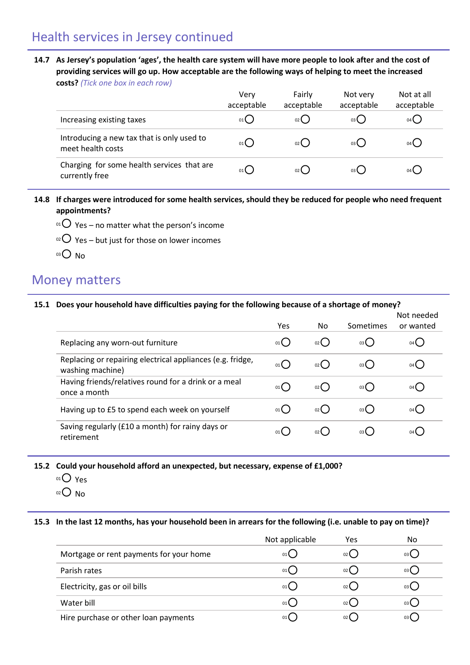### Health services in Jersey continued

**14.7 As Jersey's population 'ages', the health care system will have more people to look after and the cost of providing services will go up. How acceptable are the following ways of helping to meet the increased costs?** *(Tick one box in each row)*

|                                                                 | Very<br>acceptable | Fairly<br>acceptable | Not very<br>acceptable | Not at all<br>acceptable |
|-----------------------------------------------------------------|--------------------|----------------------|------------------------|--------------------------|
| Increasing existing taxes                                       | $01$ $\left($      | 02(                  | 03(                    | 04 (                     |
| Introducing a new tax that is only used to<br>meet health costs | 01(                | $02$ $\left($        | 03( )                  | $04$ $\left($            |
| Charging for some health services that are<br>currently free    | 01                 | $02$ $\left($        | 03()                   | $04$ (                   |

- **14.8 If charges were introduced for some health services, should they be reduced for people who need frequent appointments?**
	- $10^{\circ}$  Yes no matter what the person's income
	- $10^{20}$  Yes but just for those on lower incomes
	- $03$  No

### Money matters

#### **15.1 Does your household have difficulties paying for the following because of a shortage of money?**

|                                                                                | Yes  | No.  | Sometimes     | Not needed<br>or wanted |
|--------------------------------------------------------------------------------|------|------|---------------|-------------------------|
| Replacing any worn-out furniture                                               | 01() | 02(  | 03()          | 04 <sup>l</sup>         |
| Replacing or repairing electrical appliances (e.g. fridge,<br>washing machine) | 01() | 02() | 03()          | 04 L                    |
| Having friends/relatives round for a drink or a meal<br>once a month           | 01() | 02(  | 03()          |                         |
| Having up to £5 to spend each week on yourself                                 | 01() | 02(  | 03()          | 04 (                    |
| Saving regularly (£10 a month) for rainy days or<br>retirement                 | 01   | 02   | $03$ $\left($ |                         |

**15.2 Could your household afford an unexpected, but necessary, expense of £1,000?**

- $01O$  Yes
- $O<sub>02</sub>$  No

#### **15.3 In the last 12 months, has your household been in arrears for the following (i.e. unable to pay on time)?**

|                                         | Not applicable | Yes             | No   |
|-----------------------------------------|----------------|-----------------|------|
| Mortgage or rent payments for your home | 01(            | 02(             | 03 ( |
| Parish rates                            | 01(            | 02(             | 03 ( |
| Electricity, gas or oil bills           | 01(            | 02(             | 03(  |
| Water bill                              | $01$ $\left($  | $02$ (          | 03(  |
| Hire purchase or other loan payments    | 01 <b>(</b>    | 02 <sup>2</sup> | 03 ( |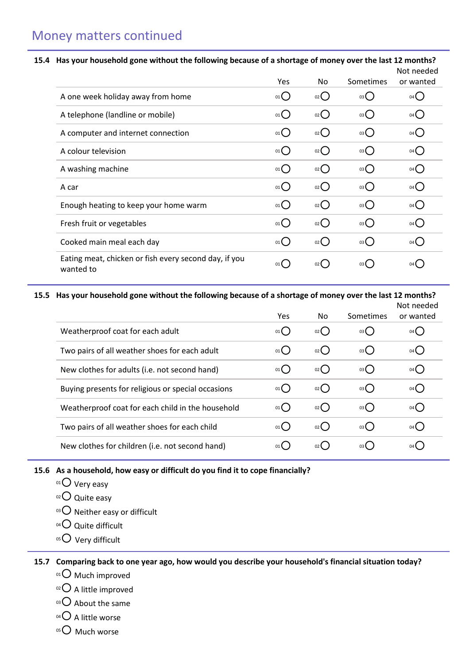# Money matters continued

#### **15.4 Has your household gone without the following because of a shortage of money over the last 12 months?**

|                                                                    |                   |                     |           | Not needed          |
|--------------------------------------------------------------------|-------------------|---------------------|-----------|---------------------|
|                                                                    | Yes               | No                  | Sometimes | or wanted           |
| A one week holiday away from home                                  | 01()              | $_{02}$ $\bigcirc$  | 03        | 04()                |
| A telephone (landline or mobile)                                   | $_{01}O$          | $_{02}$ $\bigcap$   | 03        | 04()                |
| A computer and internet connection                                 | $01$ <sup>O</sup> | $_{02}()$           | 03        | $04$ $\bigcirc$     |
| A colour television                                                | $_{01}$ $\bigcap$ | $_{02}$ $\bigcap$   | 03        | $04$ $\bigcap$      |
| A washing machine                                                  | 01()              | $_{02}$ ()          | 03        | 04()                |
| A car                                                              | $_{01}$ $\bigcap$ | $_{02}$ ()          | 03        | 04()                |
| Enough heating to keep your home warm                              | 01()              | $_{02}$ ()          | 03        | 04()                |
| Fresh fruit or vegetables                                          | $_{01}$ $\bigcap$ | $_{02}$ $\bigcap$   | 03()      | $04$ $\bigcap$      |
| Cooked main meal each day                                          | $_{01}$ $\bigcap$ | $02$ $\binom{1}{2}$ | 03        | $04$ $\binom{1}{2}$ |
| Eating meat, chicken or fish every second day, if you<br>wanted to | $01$ $\left($     | 02 <sup>l</sup>     | 03(       | 04                  |

### **15.5 Has your household gone without the following because of a shortage of money over the last 12 months?**

|                                                    | <b>Yes</b>    | No.             | Sometimes       | Not needed<br>or wanted |
|----------------------------------------------------|---------------|-----------------|-----------------|-------------------------|
| Weatherproof coat for each adult                   | 01()          | 02()            | 03()            | 04                      |
| Two pairs of all weather shoes for each adult      | 01()          | 02()            | 03()            | 04 (                    |
| New clothes for adults (i.e. not second hand)      | 01()          | 02()            | $03$ $\bigcirc$ | 04 (                    |
| Buying presents for religious or special occasions | 01()          | 02()            | $03$ $\bigcirc$ | $04$ (                  |
| Weatherproof coat for each child in the household  | 01()          | 02()            | $03$ $\bigcirc$ | $04$ (                  |
| Two pairs of all weather shoes for each child      | 01()          | 02()            | 03()            | 04 (                    |
| New clothes for children (i.e. not second hand)    | $01$ $\left($ | 02 <sub>0</sub> | 03()            | 04                      |

#### **15.6 As a household, how easy or difficult do you find it to cope financially?**

- $01$  Very easy
- $02$  Quite easy
- 03 O Neither easy or difficult
- $04$  Quite difficult
- 05 Very difficult

### **15.7 Comparing back to one year ago, how would you describe your household's financial situation today?**

- 01<sup>O</sup> Much improved
- $02$  A little improved
- $03$  About the same
- $04$  A little worse
- $05$  Much worse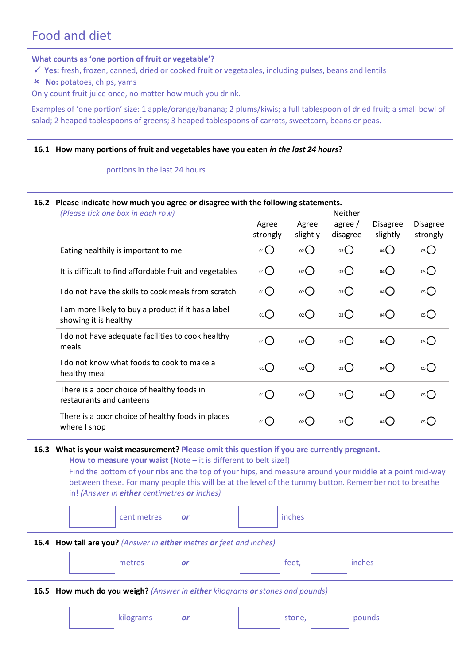# Food and diet

#### **What counts as 'one portion of fruit or vegetable'?**

- **Yes:** fresh, frozen, canned, dried or cooked fruit or vegetables, including pulses, beans and lentils
- **No:** potatoes, chips, yams

Only count fruit juice once, no matter how much you drink.

Examples of 'one portion' size: 1 apple/orange/banana; 2 plums/kiwis; a full tablespoon of dried fruit; a small bowl of salad; 2 heaped tablespoons of greens; 3 heaped tablespoons of carrots, sweetcorn, beans or peas.

#### **16.1 How many portions of fruit and vegetables have you eaten** *in the last 24 hours***?**

portions in the last 24 hours

### **7.1 16.2 Please indicate how much you agree or disagree with the following statements.**

| (Please tick one box in each row)                                            |                   |                    | Neither               |                             |                             |
|------------------------------------------------------------------------------|-------------------|--------------------|-----------------------|-----------------------------|-----------------------------|
|                                                                              | Agree<br>strongly | Agree<br>slightly  | agree $/$<br>disagree | <b>Disagree</b><br>slightly | <b>Disagree</b><br>strongly |
| Eating healthily is important to me                                          | 01                | $_{02}$ $\bigcirc$ | 03                    | $04$ $\bigcirc$             | 05                          |
| It is difficult to find affordable fruit and vegetables                      | 01                | $_{02}$            | 03                    | $04$ $\bigcirc$             | 05                          |
| I do not have the skills to cook meals from scratch                          | 01                | $_{02}$            | $03\bigcirc$          | $04$ $\bigcirc$             | 05                          |
| I am more likely to buy a product if it has a label<br>showing it is healthy | 01                | $_{02}$ $\bigcirc$ | 03                    | $04$ $\bigcirc$             | 05                          |
| I do not have adequate facilities to cook healthy<br>meals                   | 01                | $_{02}$ $\bigcirc$ | 03                    | $04$ $\bigcirc$             | 05                          |
| I do not know what foods to cook to make a<br>healthy meal                   | $01$ <sup>O</sup> | $_{02}$ $\bigcap$  | 03                    | $04$ $\bigcirc$             | 05                          |
| There is a poor choice of healthy foods in<br>restaurants and canteens       | $01$ <sup>O</sup> | $_{02}()$          | $03$ $\bigcirc$       | $04$ $\bigcirc$             | 05                          |
| There is a poor choice of healthy foods in places<br>where I shop            | $01$ <sup>O</sup> | $_{02}$ ()         | 03()                  | 04()                        | 05                          |

#### **16.3 What is your waist measurement? Please omit this question if you are currently pregnant.**

**How to measure your waist (**Note – it is different to belt size!)

Find the bottom of your ribs and the top of your hips, and measure around your middle at a point mid-way between these. For many people this will be at the level of the tummy button. Remember not to breathe in! *(Answer in either centimetres or inches)*

| $\cdot$ |  |
|---------|--|
|---------|--|

#### **16.4 How tall are you?** *(Answer in either metres or feet and inches)*

| $\sim$<br>$-22$<br>U.<br>∼<br><u>.</u> |
|----------------------------------------|
|----------------------------------------|

#### **16.5 How much do you weigh?** *(Answer in either kilograms or stones and pounds)*

| kilograms | or |  | stone, |  | pounds |
|-----------|----|--|--------|--|--------|
|-----------|----|--|--------|--|--------|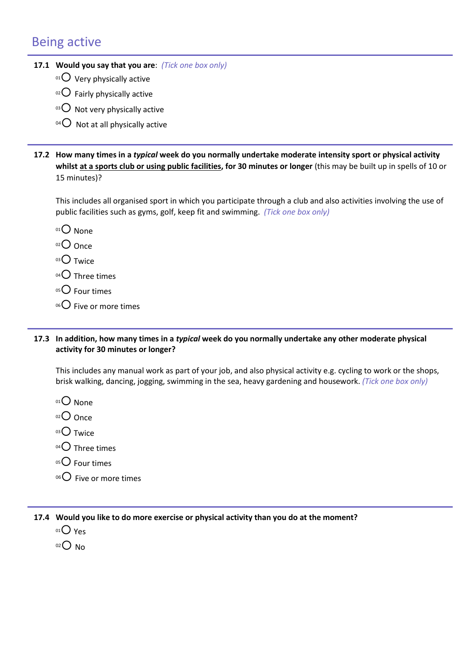# Being active

- **4.1 17.1 Would you say that you are**: *(Tick one box only)*
	- $01$  Very physically active
	- $02$  Fairly physically active
	- $03$  Not very physically active
	- $04$  Not at all physically active
- **17.2 How many times in a** *typical* **week do you normally undertake moderate intensity sport or physical activity**  whilst at a sports club or using public facilities, for 30 minutes or longer (this may be built up in spells of 10 or 15 minutes)?

This includes all organised sport in which you participate through a club and also activities involving the use of public facilities such as gyms, golf, keep fit and swimming. *(Tick one box only)*

- 01<sup>O</sup> None
- 02 Once
- $03$  Twice
- $04$  Three times
- $05$  Four times
- $^{06}$ C Five or more times

#### **4.2 17.3 In addition, how many times in a** *typical* **week do you normally undertake any other moderate physical activity for 30 minutes or longer?**

**4.4** This includes any manual work as part of your job, and also physical activity e.g. cycling to work or the shops, brisk walking, dancing, jogging, swimming in the sea, heavy gardening and housework. *(Tick one box only)*

- $01$  None
- $O$  Once
- $03$  Twice
- $04$  Three times
- $05$  Four times
- $06$  Five or more times

**17.4 Would you like to do more exercise or physical activity than you do at the moment?**

- $01$  Yes
- $02$  No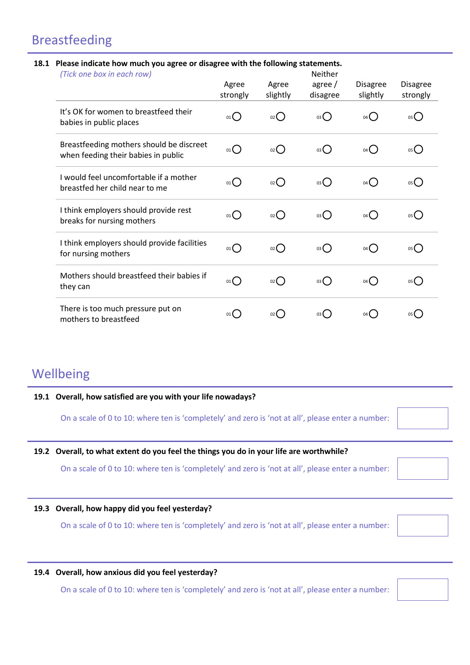# Breastfeeding

#### **7.2 18.1 Please indicate how much you agree or disagree with the following statements.**

| (Tick one box in each row)                                                      |                   |                    | Neither            |                             |                             |
|---------------------------------------------------------------------------------|-------------------|--------------------|--------------------|-----------------------------|-----------------------------|
|                                                                                 | Agree<br>strongly | Agree<br>slightly  | agree/<br>disagree | <b>Disagree</b><br>slightly | <b>Disagree</b><br>strongly |
| It's OK for women to breastfeed their<br>babies in public places                | 01()              | $_{02}$ $\bigcap$  | 03                 | $04$ $\bigcirc$             | $05$ <sup>O</sup>           |
| Breastfeeding mothers should be discreet<br>when feeding their babies in public | 01()              | $_{02}()$          | $03$ $\bigcirc$    | 04()                        | 05                          |
| I would feel uncomfortable if a mother<br>breastfed her child near to me        | 01()              | $_{02}$ $\bigcirc$ | 03                 | 04()                        | $05$ $\bigcirc$             |
| I think employers should provide rest<br>breaks for nursing mothers             | 01()              | $_{02}$ $\bigcirc$ | 03                 | 04()                        | 05()                        |
| I think employers should provide facilities<br>for nursing mothers              | 01                | $_{02}$ $\bigcirc$ | 03                 | $04$ $\bigcirc$             | 05()                        |
| Mothers should breastfeed their babies if<br>they can                           | 01                | $_{02}$ $\bigcirc$ | 03                 | $04$ $\bigcirc$             | $05$ <sup>O</sup>           |
| There is too much pressure put on<br>mothers to breastfeed                      | 01 (              | 02 <sub>0</sub>    | 03                 | $04$ (                      | 05(                         |

# Wellbeing

#### **19.1 Overall, how satisfied are you with your life nowadays?**

On a scale of 0 to 10: where ten is 'completely' and zero is 'not at all', please enter a number:

#### **19.2 Overall, to what extent do you feel the things you do in your life are worthwhile?**

On a scale of 0 to 10: where ten is 'completely' and zero is 'not at all', please enter a number:

#### **19.3 Overall, how happy did you feel yesterday?**

On a scale of 0 to 10: where ten is 'completely' and zero is 'not at all', please enter a number:



#### **19.4 Overall, how anxious did you feel yesterday?**

On a scale of 0 to 10: where ten is 'completely' and zero is 'not at all', please enter a number: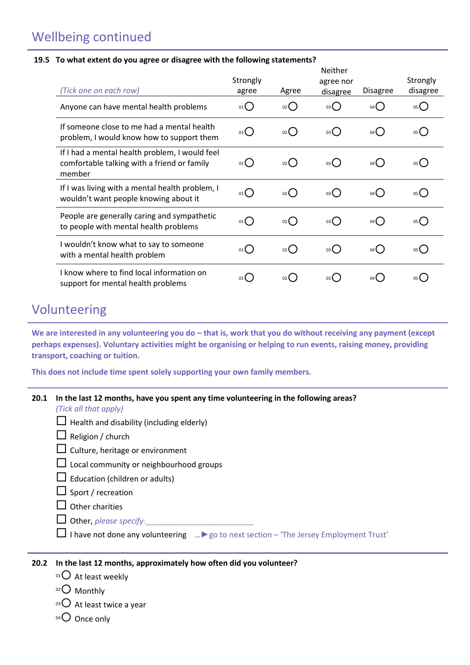# Wellbeing continued

#### **19.5 To what extent do you agree or disagree with the following statements?**

| (Tick one on each row)                                                                                  | Strongly<br>agree          | Agree         | Neither<br>agree nor<br>disagree | <b>Disagree</b>                   | Strongly<br>disagree |
|---------------------------------------------------------------------------------------------------------|----------------------------|---------------|----------------------------------|-----------------------------------|----------------------|
| Anyone can have mental health problems                                                                  | 01()                       | 02()          | 03 <sup>°</sup>                  | $04$ <sup><math>\sim</math></sup> | 05()                 |
| If someone close to me had a mental health<br>problem, I would know how to support them                 | 01()                       | $02$ $\left($ | 03()                             | 04()                              | 05()                 |
| If I had a mental health problem, I would feel<br>comfortable talking with a friend or family<br>member | 01()                       | $_{02}$ ()    | 03()                             | 04()                              | 05()                 |
| If I was living with a mental health problem, I<br>wouldn't want people knowing about it                | 01()                       | $_{02}$ ()    | 03( )                            | 04()                              | 05()                 |
| People are generally caring and sympathetic<br>to people with mental health problems                    | 01()                       | 02()          | 03()                             | $04$ $\bigcirc$                   | 05()                 |
| I wouldn't know what to say to someone<br>with a mental health problem                                  | $_{01}$ $\left($ $\right)$ | 02()          | 03( )                            | 04()                              | 05()                 |
| I know where to find local information on<br>support for mental health problems                         | 01                         | 02            | 03 <b>(</b>                      | $04$ ( )                          |                      |

# Volunteering

We are interested in any volunteering you do – that is, work that you do without receiving any payment (except **perhaps expenses). Voluntary activities might be organising or helping to run events, raising money, providing transport, coaching or tuition.**

**This does not include time spent solely supporting your own family members.**

| 20.1 | In the last 12 months, have you spent any time volunteering in the following areas?<br>(Tick all that apply) |
|------|--------------------------------------------------------------------------------------------------------------|
|      | $\Box$ Health and disability (including elderly)                                                             |
|      | $\Box$ Religion / church                                                                                     |
|      | $\Box$ Culture, heritage or environment                                                                      |
|      | $\Box$ Local community or neighbourhood groups                                                               |
|      | $\Box$ Education (children or adults)                                                                        |
|      | $\Box$ Sport / recreation                                                                                    |
|      | $\Box$ Other charities                                                                                       |
|      | $\Box$ Other, please specify:                                                                                |
|      | $\Box$ I have not done any volunteering  ► go to next section – 'The Jersey Employment Trust'                |
|      |                                                                                                              |

### **20.2 In the last 12 months, approximately how often did you volunteer?**

- $01$  At least weekly
- 02 Monthly
- 03 At least twice a year
- 04 Once only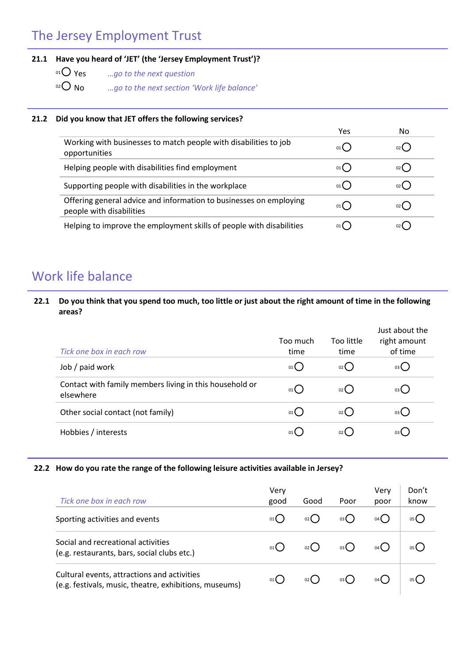# The Jersey Employment Trust

### **21.1 Have you heard of 'JET' (the 'Jersey Employment Trust')?**

- <sup>01</sup> *O* Yes *…go to the next question*<br><sup>02</sup> O No *…go to the next section* 'I
	- <sup>02</sup> No *…go to the next section 'Work life balance'*

### **21.2 Did you know that JET offers the following services?**

|                                                                                                | Yes         | No |
|------------------------------------------------------------------------------------------------|-------------|----|
| Working with businesses to match people with disabilities to job<br>opportunities              | 01(         |    |
| Helping people with disabilities find employment                                               | 01          |    |
| Supporting people with disabilities in the workplace                                           | 01()        |    |
| Offering general advice and information to businesses on employing<br>people with disabilities | 01          |    |
| Helping to improve the employment skills of people with disabilities                           | 01 <b>(</b> |    |

# Work life balance

### **22.1 Do you think that you spend too much, too little or just about the right amount of time in the following areas?**

| Tick one box in each row                                             | Too much<br>time | Too little<br>time                   | Just about the<br>right amount<br>of time |
|----------------------------------------------------------------------|------------------|--------------------------------------|-------------------------------------------|
| Job / paid work                                                      | 01()             | 02()                                 | 03()                                      |
| Contact with family members living in this household or<br>elsewhere | $01$ $\left($    | $02$ $\begin{pmatrix} \end{pmatrix}$ | 03()                                      |
| Other social contact (not family)                                    | 01               | 02                                   | 03 (                                      |
| Hobbies / interests                                                  | 01(              | 02 <sup>2</sup>                      | 03 (                                      |

### **22.2 How do you rate the range of the following leisure activities available in Jersey?**

| Tick one box in each row                                                                              | Verv<br>good  | Good  | Poor | Verv<br>poor | Don't<br>know |
|-------------------------------------------------------------------------------------------------------|---------------|-------|------|--------------|---------------|
| Sporting activities and events                                                                        | $01$ $\left($ | 02(   | 03(  | $04$ ( )     | 05(           |
| Social and recreational activities<br>(e.g. restaurants, bars, social clubs etc.)                     |               | 02(   | 03(  | $04($ )      |               |
| Cultural events, attractions and activities<br>(e.g. festivals, music, theatre, exhibitions, museums) |               | 02 (D |      |              |               |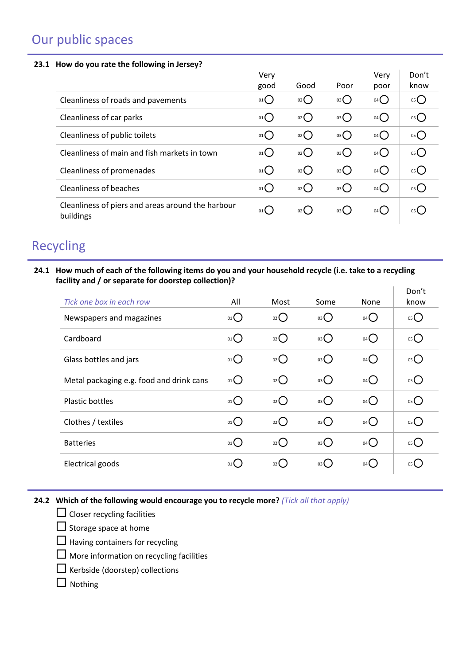# Our public spaces

#### **23.1 How do you rate the following in Jersey?**

|                                                                | Very |                    |                 | Very            | Don't             |
|----------------------------------------------------------------|------|--------------------|-----------------|-----------------|-------------------|
|                                                                | good | Good               | Poor            | poor            | know              |
| Cleanliness of roads and pavements                             | 01() | $_{02}$            | 03              | $04$ $\bigcirc$ | 05C               |
| Cleanliness of car parks                                       | 01() | 02                 | 03              | $04$ $\bigcirc$ | $05$ $\bigcirc$   |
| Cleanliness of public toilets                                  | 01() | $_{02}$            | 03              | $04$ $\bigcirc$ | 05C               |
| Cleanliness of main and fish markets in town                   | 01() | $_{02}$ $\bigcirc$ | 03              | $04$ $\bigcirc$ | 05C               |
| Cleanliness of promenades                                      | 01() | $_{02}$ $O$        | 03              | $04$ $\bigcirc$ | $05$ $\bigcirc$   |
| <b>Cleanliness of beaches</b>                                  | 01() | $_{02}$ $\bigcap$  | $03$ $\bigcirc$ | $04$ $\bigcirc$ | $05$ <sup>O</sup> |
| Cleanliness of piers and areas around the harbour<br>buildings | 01 ( | $02$ (             | 03()            | 04()            | 05(               |

# Recycling

**24.1 How much of each of the following items do you and your household recycle (i.e. take to a recycling facility and / or separate for doorstep collection)?**  $\overline{1}$  $\overline{a}$ 

| Tick one box in each row                 | All             | Most               | Some | None              | Don't<br>know |
|------------------------------------------|-----------------|--------------------|------|-------------------|---------------|
| Newspapers and magazines                 | 01              | 02                 | 03   | $04$ <sup>O</sup> | 05            |
| Cardboard                                | $01$ $\bigcirc$ | $_{02}()$          | 03   | $04$ $\bigcap$    | 05            |
| Glass bottles and jars                   | 01              | $_{02}$ $\bigcirc$ | 03   | $04$ $\bigcirc$   | 05            |
| Metal packaging e.g. food and drink cans | $01$ $\bigcirc$ | $_{02}$ $\bigcirc$ | 03   | $04$ $\bigcirc$   | 05            |
| <b>Plastic bottles</b>                   | $01$ $\bigcirc$ | $_{02}$ $\bigcap$  | 03   | $04$ $\bigcirc$   | 05            |
| Clothes / textiles                       | $01$ $\bigcirc$ | $_{02}$ $\bigcirc$ | 03   | $04$ $\bigcirc$   | 05            |
| <b>Batteries</b>                         | 01              | $_{02}$ $\bigcirc$ | 03   | $04$ $\bigcirc$   | 05            |
| Electrical goods                         | 01              | $_{02}$ ()         | 03() | 04()              | 05()          |

### **24.2 Which of the following would encourage you to recycle more?** *(Tick all that apply)*

- $\Box$  Closer recycling facilities
- $\square$  Storage space at home
- $\Box$  Having containers for recycling
- More information on recycling facilities
- $\Box$  Kerbside (doorstep) collections
- $\Box$  Nothing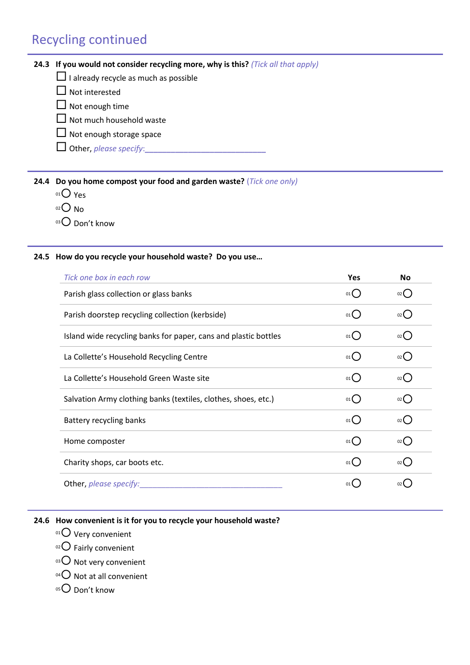# Recycling continued

### **24.3 If you would not consider recycling more, why is this?** *(Tick all that apply)*

- $\Box$  I already recycle as much as possible
- $\Box$  Not interested
- $\Box$  Not enough time
- $\Box$  Not much household waste
- $\Box$  Not enough storage space
- $\Box$  Other, *please specify*:

**24.4 Do you home compost your food and garden waste?** (*Tick one only)*

- $01O$  Yes
- $02$  No
- 03 Don't know

#### **24.5 How do you recycle your household waste? Do you use…**

| Tick one box in each row                                        | Yes                 | <b>No</b>              |
|-----------------------------------------------------------------|---------------------|------------------------|
| Parish glass collection or glass banks                          | 01()                | $_{02}$ ()             |
| Parish doorstep recycling collection (kerbside)                 | 01()                | 02                     |
| Island wide recycling banks for paper, cans and plastic bottles | 01()                | $_{02}$ $\binom{1}{2}$ |
| La Collette's Household Recycling Centre                        | $01$ $\bigcap$      | $_{02}$ (              |
| La Collette's Household Green Waste site                        | 01()                | 02                     |
| Salvation Army clothing banks (textiles, clothes, shoes, etc.)  | 01()                | $_{02}$ (              |
| Battery recycling banks                                         | $01$ $\bigcap$      | $_{02}$ $\left($       |
| Home composter                                                  | $01$ $\binom{1}{2}$ | $_{02}$ (              |
| Charity shops, car boots etc.                                   | $01$ $\binom{1}{2}$ | 02                     |
| Other, please specify:                                          | 01                  | 02                     |

#### **24.6 How convenient is it for you to recycle your household waste?**

- <sup>01</sup> Very convenient
- 02 Fairly convenient
- 03 O Not very convenient
- $^{04}$  Not at all convenient
- $05$  Don't know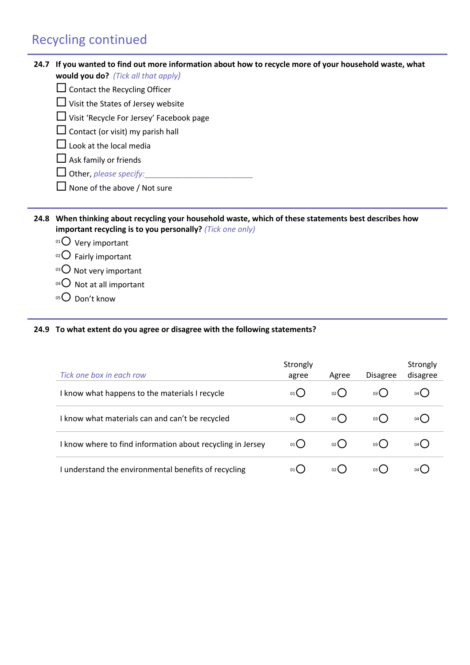# Recycling continued

| 24.7 | If you wanted to find out more information about how to recycle more of your household waste, what<br><b>would you do?</b> (Tick all that apply)              |
|------|---------------------------------------------------------------------------------------------------------------------------------------------------------------|
|      | Contact the Recycling Officer                                                                                                                                 |
|      | Visit the States of Jersey website                                                                                                                            |
|      | Visit 'Recycle For Jersey' Facebook page                                                                                                                      |
|      | Contact (or visit) my parish hall                                                                                                                             |
|      | Look at the local media                                                                                                                                       |
|      | Ask family or friends                                                                                                                                         |
|      | Other, please specify:                                                                                                                                        |
|      | $\Box$ None of the above / Not sure                                                                                                                           |
|      |                                                                                                                                                               |
| 24.8 | When thinking about recycling your household waste, which of these statements best describes how<br>important recycling is to you personally? (Tick one only) |
|      | $0101$ Very important                                                                                                                                         |
|      | $^{02}$ Fairly important                                                                                                                                      |
|      | $\mathrm{^{03}O}$ Not very important                                                                                                                          |
|      | $^{04}$ Not at all important                                                                                                                                  |
|      | $05$ Don't know                                                                                                                                               |

### **24.9 To what extent do you agree or disagree with the following statements?**

| Tick one box in each row                                   | Strongly<br>agree | Agree | <b>Disagree</b> | Strongly<br>disagree |
|------------------------------------------------------------|-------------------|-------|-----------------|----------------------|
| I know what happens to the materials I recycle             | 01()              | 02()  | 03()            | $04($ )              |
| I know what materials can and can't be recycled            | 01()              | 02()  | 03()            | $04($ )              |
| I know where to find information about recycling in Jersey | 01()              | 02()  | 03()            | $04($ )              |
| I understand the environmental benefits of recycling       | 01()              | 02(   | 03( )           | 04 (                 |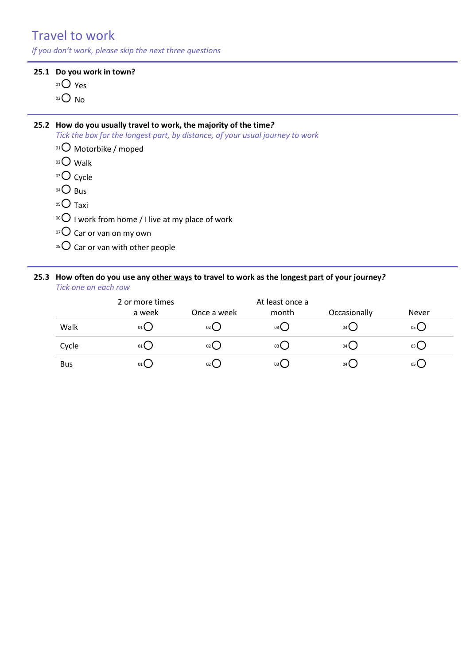# Travel to work

*If you don't work, please skip the next three questions*

#### **25.1 Do you work in town?**

- $01O$  Yes
- $O<sub>02</sub>$  No

#### **25.2 How do you usually travel to work, the majority of the time***?*

*Tick the box for the longest part, by distance, of your usual journey to work*

- <sup>01</sup> Motorbike / moped
- $02$  Walk
- 03 Cycle
- $04$  Bus
- $05$  Taxi
- $106$  I work from home / I live at my place of work
- $07$  Car or van on my own
- $08$  Car or van with other people

#### **25.3 How often do you use any other ways to travel to work as the longest part of your journey***? Tick one on each row*

|            | 2 or more times |             | At least once a |                |              |
|------------|-----------------|-------------|-----------------|----------------|--------------|
|            | a week          | Once a week | month           | Occasionally   | <b>Never</b> |
| Walk       | 01              | 02()        | 03()            | $04$ $\bigcup$ | 05 (         |
| Cycle      | 01              | 02()        | 03()            | 04()           | 05 L         |
| <b>Bus</b> | 01              | $02$ (      | 03()            | $04$ (         | 05 L         |